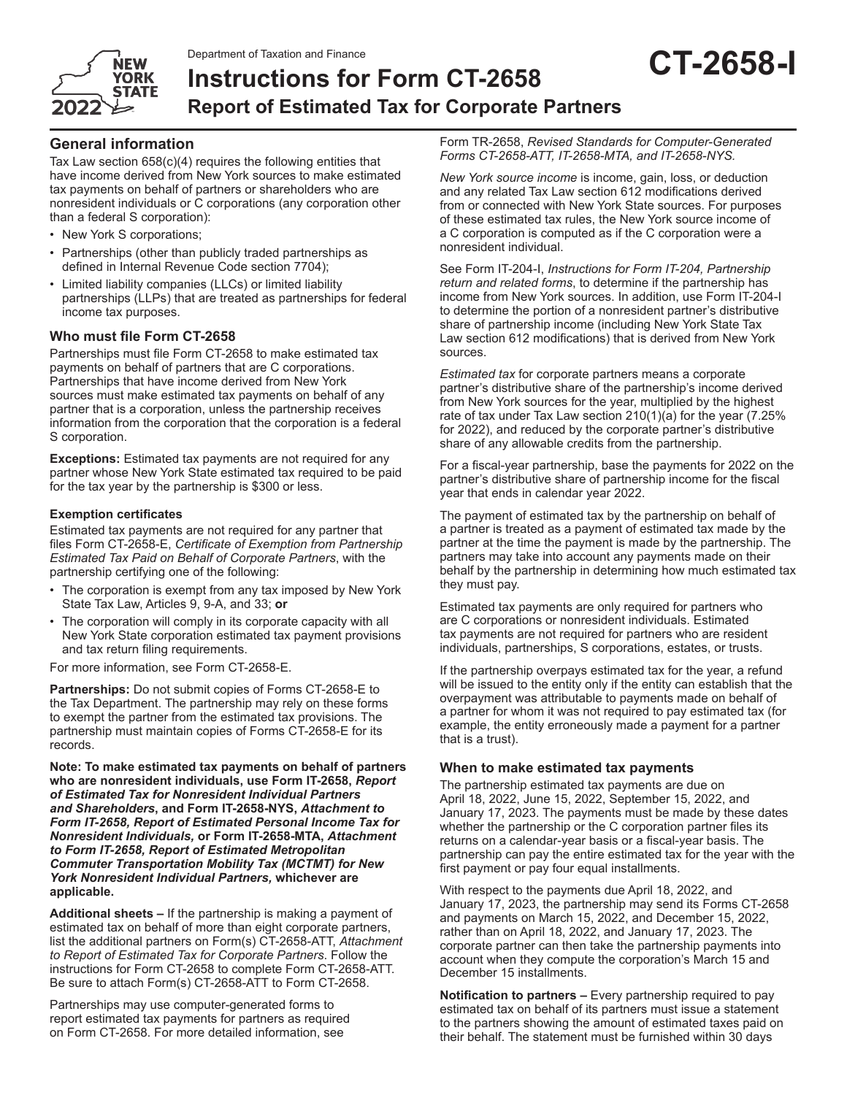

# **Instructions for Form CT-2658 Report of Estimated Tax for Corporate Partners**

Tax Law section 658(c)(4) requires the following entities that have income derived from New York sources to make estimated tax payments on behalf of partners or shareholders who are nonresident individuals or C corporations (any corporation other than a federal S corporation):

- New York S corporations;
- Partnerships (other than publicly traded partnerships as defined in Internal Revenue Code section 7704);
- Limited liability companies (LLCs) or limited liability partnerships (LLPs) that are treated as partnerships for federal income tax purposes.

# **Who must file Form CT-2658**

Partnerships must file Form CT-2658 to make estimated tax payments on behalf of partners that are C corporations. Partnerships that have income derived from New York sources must make estimated tax payments on behalf of any partner that is a corporation, unless the partnership receives information from the corporation that the corporation is a federal S corporation.

**Exceptions:** Estimated tax payments are not required for any partner whose New York State estimated tax required to be paid for the tax year by the partnership is \$300 or less.

# **Exemption certificates**

Estimated tax payments are not required for any partner that files Form CT-2658-E, *Certificate of Exemption from Partnership Estimated Tax Paid on Behalf of Corporate Partners*, with the partnership certifying one of the following:

- The corporation is exempt from any tax imposed by New York State Tax Law, Articles 9, 9-A, and 33; **or**
- The corporation will comply in its corporate capacity with all New York State corporation estimated tax payment provisions and tax return filing requirements.

For more information, see Form CT-2658-E.

**Partnerships:** Do not submit copies of Forms CT-2658-E to the Tax Department. The partnership may rely on these forms to exempt the partner from the estimated tax provisions. The partnership must maintain copies of Forms CT-2658-E for its records.

**Note: To make estimated tax payments on behalf of partners who are nonresident individuals, use Form IT-2658,** *Report of Estimated Tax for Nonresident Individual Partners and Shareholders***, and Form IT-2658-NYS,** *Attachment to Form IT-2658, Report of Estimated Personal Income Tax for Nonresident Individuals,* **or Form IT-2658-MTA,** *Attachment to Form IT-2658, Report of Estimated Metropolitan Commuter Transportation Mobility Tax (MCTMT) for New York Nonresident Individual Partners,* **whichever are applicable.**

**Additional sheets –** If the partnership is making a payment of estimated tax on behalf of more than eight corporate partners, list the additional partners on Form(s) CT-2658-ATT, *Attachment to Report of Estimated Tax for Corporate Partners*. Follow the instructions for Form CT-2658 to complete Form CT-2658-ATT. Be sure to attach Form(s) CT-2658-ATT to Form CT-2658.

Partnerships may use computer-generated forms to report estimated tax payments for partners as required on Form CT-2658. For more detailed information, see

Form TR-2658, *Revised Standards for Computer-Generated Forms CT-2658-ATT, IT-2658-MTA, and IT-2658-NYS.*

*New York source income* is income, gain, loss, or deduction and any related Tax Law section 612 modifications derived from or connected with New York State sources. For purposes of these estimated tax rules, the New York source income of a C corporation is computed as if the C corporation were a nonresident individual.

See Form IT-204-I, *Instructions for Form IT-204, Partnership return and related forms*, to determine if the partnership has income from New York sources. In addition, use Form IT-204-I to determine the portion of a nonresident partner's distributive share of partnership income (including New York State Tax Law section 612 modifications) that is derived from New York sources.

*Estimated tax* for corporate partners means a corporate partner's distributive share of the partnership's income derived from New York sources for the year, multiplied by the highest rate of tax under Tax Law section 210(1)(a) for the year (7.25% for 2022), and reduced by the corporate partner's distributive share of any allowable credits from the partnership.

For a fiscal-year partnership, base the payments for 2022 on the partner's distributive share of partnership income for the fiscal year that ends in calendar year 2022.

The payment of estimated tax by the partnership on behalf of a partner is treated as a payment of estimated tax made by the partner at the time the payment is made by the partnership. The partners may take into account any payments made on their behalf by the partnership in determining how much estimated tax they must pay.

Estimated tax payments are only required for partners who are C corporations or nonresident individuals. Estimated tax payments are not required for partners who are resident individuals, partnerships, S corporations, estates, or trusts.

If the partnership overpays estimated tax for the year, a refund will be issued to the entity only if the entity can establish that the overpayment was attributable to payments made on behalf of a partner for whom it was not required to pay estimated tax (for example, the entity erroneously made a payment for a partner that is a trust).

# **When to make estimated tax payments**

The partnership estimated tax payments are due on April 18, 2022, June 15, 2022, September 15, 2022, and January 17, 2023. The payments must be made by these dates whether the partnership or the C corporation partner files its returns on a calendar-year basis or a fiscal-year basis. The partnership can pay the entire estimated tax for the year with the first payment or pay four equal installments.

With respect to the payments due April 18, 2022, and January 17, 2023, the partnership may send its Forms CT-2658 and payments on March 15, 2022, and December 15, 2022, rather than on April 18, 2022, and January 17, 2023. The corporate partner can then take the partnership payments into account when they compute the corporation's March 15 and December 15 installments.

**Notification to partners –** Every partnership required to pay estimated tax on behalf of its partners must issue a statement to the partners showing the amount of estimated taxes paid on their behalf. The statement must be furnished within 30 days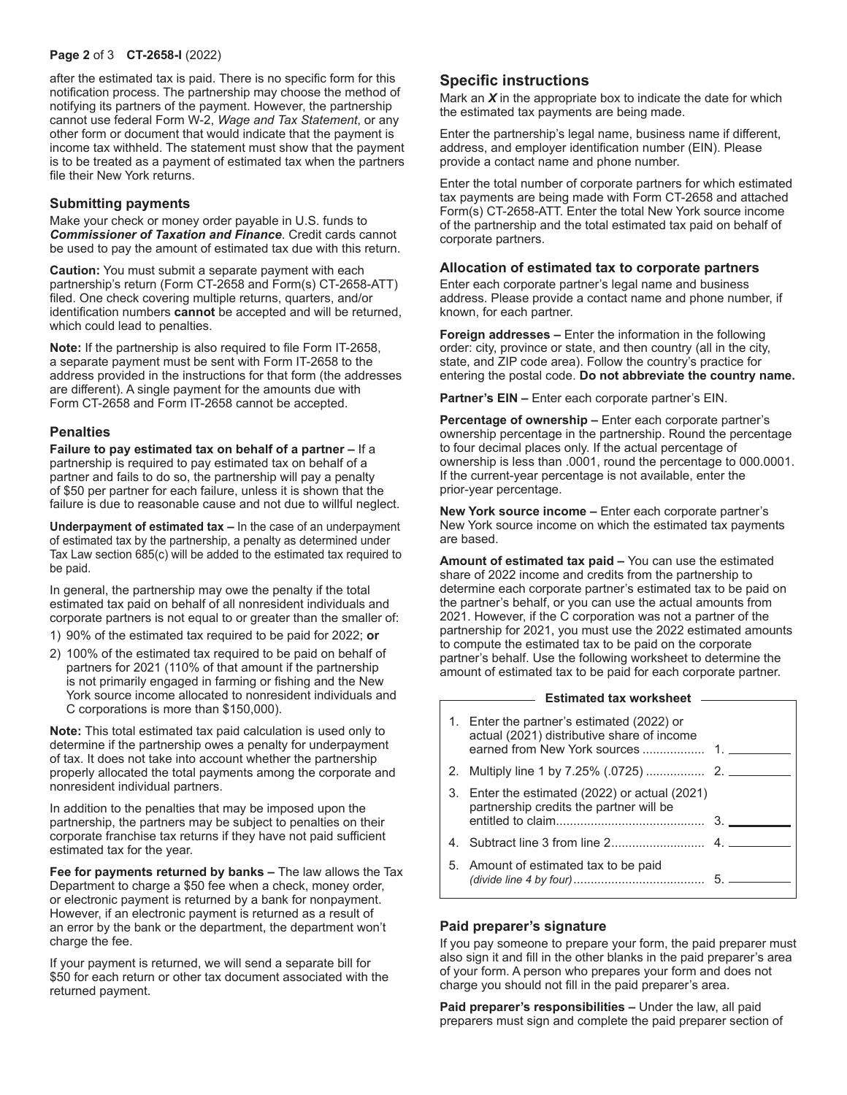#### **Page 2** of 3 **CT-2658-I** (2022)

after the estimated tax is paid. There is no specific form for this notification process. The partnership may choose the method of notifying its partners of the payment. However, the partnership cannot use federal Form W-2, *Wage and Tax Statement*, or any other form or document that would indicate that the payment is income tax withheld. The statement must show that the payment is to be treated as a payment of estimated tax when the partners file their New York returns.

#### **Submitting payments**

Make your check or money order payable in U.S. funds to *Commissioner of Taxation and Finance*. Credit cards cannot be used to pay the amount of estimated tax due with this return.

**Caution:** You must submit a separate payment with each partnership's return (Form CT-2658 and Form(s) CT-2658-ATT) filed. One check covering multiple returns, quarters, and/or identification numbers **cannot** be accepted and will be returned, which could lead to penalties.

**Note:** If the partnership is also required to file Form IT-2658, a separate payment must be sent with Form IT-2658 to the address provided in the instructions for that form (the addresses are different). A single payment for the amounts due with Form CT-2658 and Form IT-2658 cannot be accepted.

#### **Penalties**

**Failure to pay estimated tax on behalf of a partner –** If a partnership is required to pay estimated tax on behalf of a partner and fails to do so, the partnership will pay a penalty of \$50 per partner for each failure, unless it is shown that the failure is due to reasonable cause and not due to willful neglect.

**Underpayment of estimated tax –** In the case of an underpayment of estimated tax by the partnership, a penalty as determined under Tax Law section 685(c) will be added to the estimated tax required to be paid.

In general, the partnership may owe the penalty if the total estimated tax paid on behalf of all nonresident individuals and corporate partners is not equal to or greater than the smaller of:

- 1) 90% of the estimated tax required to be paid for 2022; **or**
- 2) 100% of the estimated tax required to be paid on behalf of partners for 2021 (110% of that amount if the partnership is not primarily engaged in farming or fishing and the New York source income allocated to nonresident individuals and C corporations is more than \$150,000).

**Note:** This total estimated tax paid calculation is used only to determine if the partnership owes a penalty for underpayment of tax. It does not take into account whether the partnership properly allocated the total payments among the corporate and nonresident individual partners.

In addition to the penalties that may be imposed upon the partnership, the partners may be subject to penalties on their corporate franchise tax returns if they have not paid sufficient estimated tax for the year.

**Fee for payments returned by banks –** The law allows the Tax Department to charge a \$50 fee when a check, money order, or electronic payment is returned by a bank for nonpayment. However, if an electronic payment is returned as a result of an error by the bank or the department, the department won't charge the fee.

If your payment is returned, we will send a separate bill for \$50 for each return or other tax document associated with the returned payment.

### **Specific instructions**

Mark an *X* in the appropriate box to indicate the date for which the estimated tax payments are being made.

Enter the partnership's legal name, business name if different, address, and employer identification number (EIN). Please provide a contact name and phone number.

Enter the total number of corporate partners for which estimated tax payments are being made with Form CT-2658 and attached Form(s) CT-2658-ATT. Enter the total New York source income of the partnership and the total estimated tax paid on behalf of corporate partners.

#### **Allocation of estimated tax to corporate partners**

Enter each corporate partner's legal name and business address. Please provide a contact name and phone number, if known, for each partner.

**Foreign addresses –** Enter the information in the following order: city, province or state, and then country (all in the city, state, and ZIP code area). Follow the country's practice for entering the postal code. **Do not abbreviate the country name.**

**Partner's EIN –** Enter each corporate partner's EIN.

**Percentage of ownership –** Enter each corporate partner's ownership percentage in the partnership. Round the percentage to four decimal places only. If the actual percentage of ownership is less than .0001, round the percentage to 000.0001. If the current-year percentage is not available, enter the prior-year percentage.

**New York source income –** Enter each corporate partner's New York source income on which the estimated tax payments are based.

**Amount of estimated tax paid –** You can use the estimated share of 2022 income and credits from the partnership to determine each corporate partner's estimated tax to be paid on the partner's behalf, or you can use the actual amounts from 2021. However, if the C corporation was not a partner of the partnership for 2021, you must use the 2022 estimated amounts to compute the estimated tax to be paid on the corporate partner's behalf. Use the following worksheet to determine the amount of estimated tax to be paid for each corporate partner.

#### **Estimated tax worksheet**

| 1. Enter the partner's estimated (2022) or<br>actual (2021) distributive share of income  |  |
|-------------------------------------------------------------------------------------------|--|
|                                                                                           |  |
| 3. Enter the estimated (2022) or actual (2021)<br>partnership credits the partner will be |  |
|                                                                                           |  |
| 5. Amount of estimated tax to be paid                                                     |  |

#### **Paid preparer's signature**

If you pay someone to prepare your form, the paid preparer must also sign it and fill in the other blanks in the paid preparer's area of your form. A person who prepares your form and does not charge you should not fill in the paid preparer's area.

**Paid preparer's responsibilities –** Under the law, all paid preparers must sign and complete the paid preparer section of